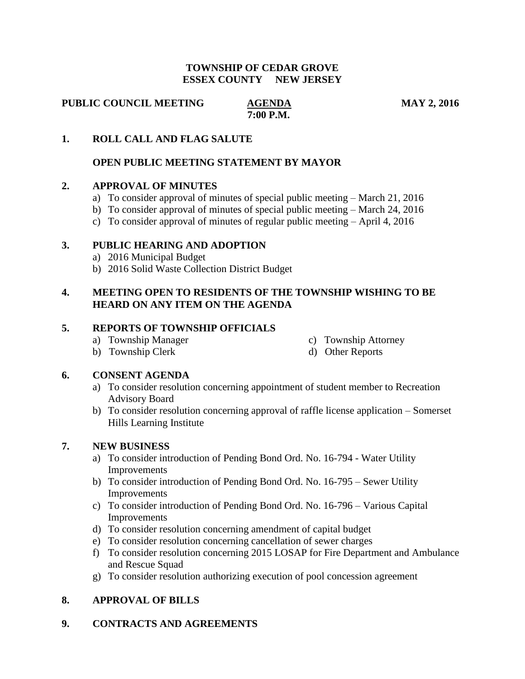#### **TOWNSHIP OF CEDAR GROVE ESSEX COUNTY NEW JERSEY**

**PUBLIC COUNCIL MEETING AGENDA MAY 2, 2016** 

 **7:00 P.M.**

## **1. ROLL CALL AND FLAG SALUTE**

## **OPEN PUBLIC MEETING STATEMENT BY MAYOR**

### **2. APPROVAL OF MINUTES**

- a) To consider approval of minutes of special public meeting March 21, 2016
- b) To consider approval of minutes of special public meeting March 24, 2016
- c) To consider approval of minutes of regular public meeting April 4, 2016

#### **3. PUBLIC HEARING AND ADOPTION**

- a) 2016 Municipal Budget
- b) 2016 Solid Waste Collection District Budget

# **4. MEETING OPEN TO RESIDENTS OF THE TOWNSHIP WISHING TO BE HEARD ON ANY ITEM ON THE AGENDA**

### **5. REPORTS OF TOWNSHIP OFFICIALS**

- a) Township Manager c) Township Attorney
	-
- b) Township Clerk d) Other Reports

### **6. CONSENT AGENDA**

- a) To consider resolution concerning appointment of student member to Recreation Advisory Board
- b) To consider resolution concerning approval of raffle license application Somerset Hills Learning Institute

### **7. NEW BUSINESS**

- a) To consider introduction of Pending Bond Ord. No. 16-794 Water Utility Improvements
- b) To consider introduction of Pending Bond Ord. No. 16-795 Sewer Utility Improvements
- c) To consider introduction of Pending Bond Ord. No. 16-796 Various Capital Improvements
- d) To consider resolution concerning amendment of capital budget
- e) To consider resolution concerning cancellation of sewer charges
- f) To consider resolution concerning 2015 LOSAP for Fire Department and Ambulance and Rescue Squad
- g) To consider resolution authorizing execution of pool concession agreement

### **8. APPROVAL OF BILLS**

## **9. CONTRACTS AND AGREEMENTS**